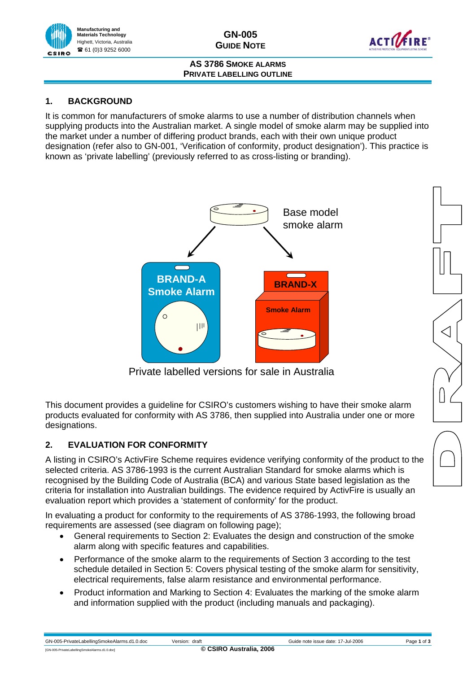

**GN-005 GUIDE NOTE** 



### **AS 3786 SMOKE ALARMS PRIVATE LABELLING OUTLINE**

### **1. BACKGROUND**

It is common for manufacturers of smoke alarms to use a number of distribution channels when supplying products into the Australian market. A single model of smoke alarm may be supplied into the market under a number of differing product brands, each with their own unique product designation (refer also to GN-001, 'Verification of conformity, product designation'). This practice is known as 'private labelling' (previously referred to as cross-listing or branding).



Private labelled versions for sale in Australia

This document provides a guideline for CSIRO's customers wishing to have their smoke alarm products evaluated for conformity with AS 3786, then supplied into Australia under one or more designations.

# **2. EVALUATION FOR CONFORMITY**

A listing in CSIRO's ActivFire Scheme requires evidence verifying conformity of the product to the selected criteria. AS 3786-1993 is the current Australian Standard for smoke alarms which is recognised by the Building Code of Australia (BCA) and various State based legislation as the criteria for installation into Australian buildings. The evidence required by ActivFire is usually an evaluation report which provides a 'statement of conformity' for the product.

In evaluating a product for conformity to the requirements of AS 3786-1993, the following broad requirements are assessed (see diagram on following page);

- General requirements to Section 2: Evaluates the design and construction of the smoke alarm along with specific features and capabilities.
- Performance of the smoke alarm to the requirements of Section 3 according to the test schedule detailed in Section 5: Covers physical testing of the smoke alarm for sensitivity, electrical requirements, false alarm resistance and environmental performance.
- Product information and Marking to Section 4: Evaluates the marking of the smoke alarm and information supplied with the product (including manuals and packaging).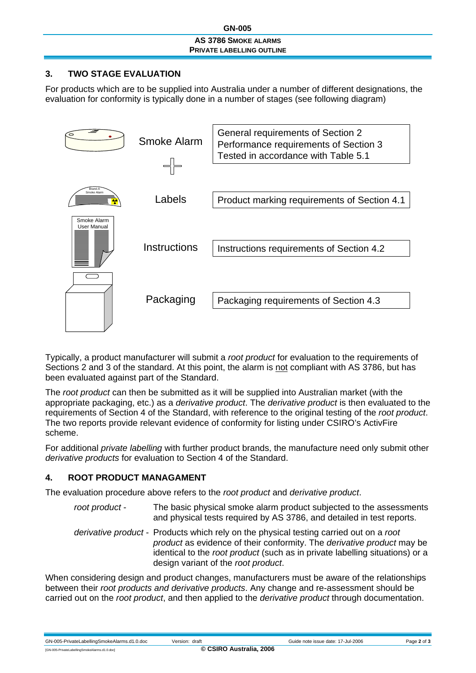### **GN-005 GN-005**

#### **AS 3786 SMOKE ALARMS PRIVATE LABELLING OUTLINE**

### **3. TWO STAGE EVALUATION**

For products which are to be supplied into Australia under a number of different designations, the evaluation for conformity is typically done in a number of stages (see following diagram)



Typically, a product manufacturer will submit a *root product* for evaluation to the requirements of Sections 2 and 3 of the standard. At this point, the alarm is not compliant with AS 3786, but has been evaluated against part of the Standard.

The *root product* can then be submitted as it will be supplied into Australian market (with the appropriate packaging, etc.) as a *derivative product*. The *derivative product* is then evaluated to the requirements of Section 4 of the Standard, with reference to the original testing of the *root product*. The two reports provide relevant evidence of conformity for listing under CSIRO's ActivFire scheme.

For additional *private labelling* with further product brands, the manufacture need only submit other *derivative products* for evaluation to Section 4 of the Standard.

### **4. ROOT PRODUCT MANAGAMENT**

The evaluation procedure above refers to the *root product* and *derivative product*.

| root product - | The basic physical smoke alarm product subjected to the assessments   |
|----------------|-----------------------------------------------------------------------|
|                | and physical tests required by AS 3786, and detailed in test reports. |

*derivative product* - Products which rely on the physical testing carried out on a *root product* as evidence of their conformity. The *derivative product* may be identical to the *root product* (such as in private labelling situations) or a design variant of the *root product*.

When considering design and product changes, manufacturers must be aware of the relationships between their *root products and derivative products*. Any change and re-assessment should be carried out on the *root product*, and then applied to the *derivative product* through documentation.